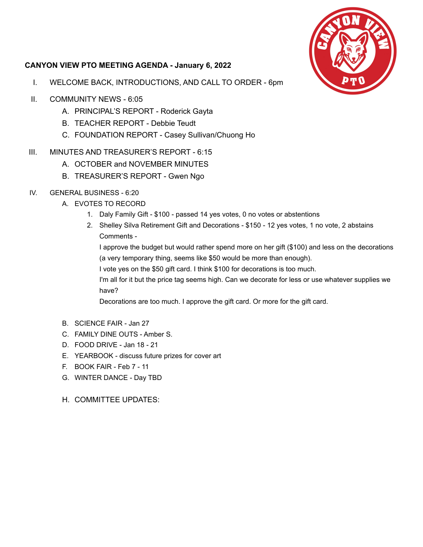

## **CANYON VIEW PTO MEETING AGENDA - January 6, 2022**

- I. WELCOME BACK, INTRODUCTIONS, AND CALL TO ORDER 6pm
- II. COMMUNITY NEWS 6:05
	- A. PRINCIPAL'S REPORT Roderick Gayta
	- B. TEACHER REPORT Debbie Teudt
	- C. FOUNDATION REPORT Casey Sullivan/Chuong Ho
- III. MINUTES AND TREASURER'S REPORT 6:15
	- A. OCTOBER and NOVEMBER MINUTES
	- B. TREASURER'S REPORT Gwen Ngo
- IV. GENERAL BUSINESS 6:20
	- A. EVOTES TO RECORD
		- 1. Daly Family Gift \$100 passed 14 yes votes, 0 no votes or abstentions
		- 2. Shelley Silva Retirement Gift and Decorations \$150 12 yes votes, 1 no vote, 2 abstains Comments -

I approve the budget but would rather spend more on her gift (\$100) and less on the decorations (a very temporary thing, seems like \$50 would be more than enough).

I vote yes on the \$50 gift card. I think \$100 for decorations is too much.

I'm all for it but the price tag seems high. Can we decorate for less or use whatever supplies we have?

Decorations are too much. I approve the gift card. Or more for the gift card.

- B. SCIENCE FAIR Jan 27
- C. FAMILY DINE OUTS Amber S.
- D. FOOD DRIVE Jan 18 21
- E. YEARBOOK discuss future prizes for cover art
- F. BOOK FAIR Feb 7 11
- G. WINTER DANCE Day TBD
- H. COMMITTEE UPDATES: